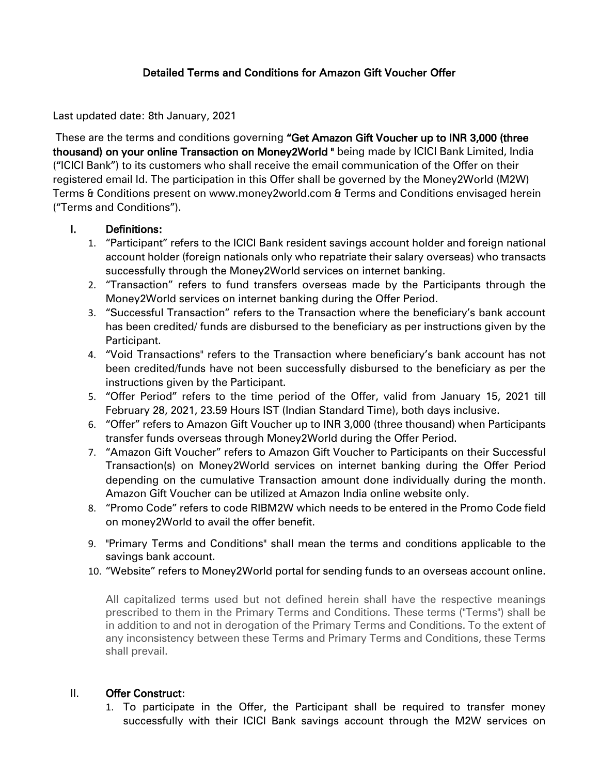## Detailed Terms and Conditions for Amazon Gift Voucher Offer

Last updated date: 8th January, 2021

These are the terms and conditions governing "Get Amazon Gift Voucher up to INR 3,000 (three thousand) on your online Transaction on Money2World " being made by ICICI Bank Limited, India ("ICICI Bank") to its customers who shall receive the email communication of the Offer on their registered email Id. The participation in this Offer shall be governed by the Money2World (M2W) Terms & Conditions present on www.money2world.com & Terms and Conditions envisaged herein ("Terms and Conditions").

#### I. Definitions:

- 1. "Participant" refers to the ICICI Bank resident savings account holder and foreign national account holder (foreign nationals only who repatriate their salary overseas) who transacts successfully through the Money2World services on internet banking.
- 2. "Transaction" refers to fund transfers overseas made by the Participants through the Money2World services on internet banking during the Offer Period.
- 3. "Successful Transaction" refers to the Transaction where the beneficiary's bank account has been credited/ funds are disbursed to the beneficiary as per instructions given by the Participant.
- 4. "Void Transactions" refers to the Transaction where beneficiary's bank account has not been credited/funds have not been successfully disbursed to the beneficiary as per the instructions given by the Participant.
- 5. "Offer Period" refers to the time period of the Offer, valid from January 15, 2021 till February 28, 2021, 23.59 Hours IST (Indian Standard Time), both days inclusive.
- 6. "Offer" refers to Amazon Gift Voucher up to INR 3,000 (three thousand) when Participants transfer funds overseas through Money2World during the Offer Period.
- 7. "Amazon Gift Voucher" refers to Amazon Gift Voucher to Participants on their Successful Transaction(s) on Money2World services on internet banking during the Offer Period depending on the cumulative Transaction amount done individually during the month. Amazon Gift Voucher can be utilized at Amazon India online website only.
- 8. "Promo Code" refers to code RIBM2W which needs to be entered in the Promo Code field on money2World to avail the offer benefit.
- 9. "Primary Terms and Conditions" shall mean the terms and conditions applicable to the savings bank account.
- 10. "Website" refers to Money2World portal for sending funds to an overseas account online.

All capitalized terms used but not defined herein shall have the respective meanings prescribed to them in the Primary Terms and Conditions. These terms ("Terms") shall be in addition to and not in derogation of the Primary Terms and Conditions. To the extent of any inconsistency between these Terms and Primary Terms and Conditions, these Terms shall prevail.

#### II. Offer Construct:

1. To participate in the Offer, the Participant shall be required to transfer money successfully with their ICICI Bank savings account through the M2W services on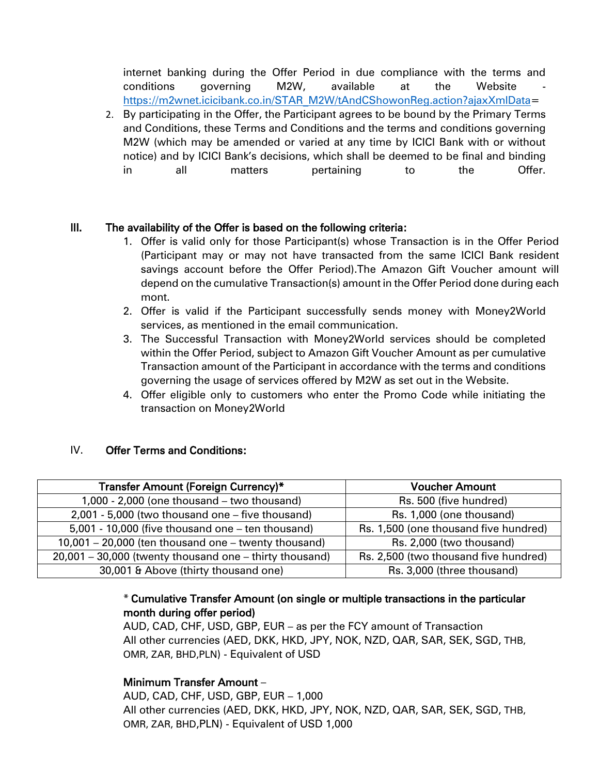internet banking during the Offer Period in due compliance with the terms and conditions governing M2W, available at the Website [https://m2wnet.icicibank.co.in/STAR\\_M2W/tAndCShowonReg.action?ajaxXmlData=](https://m2wnet.icicibank.co.in/STAR_M2W/tAndCShowonReg.action?ajaxXmlData)

2. By participating in the Offer, the Participant agrees to be bound by the Primary Terms and Conditions, these Terms and Conditions and the terms and conditions governing M2W (which may be amended or varied at any time by ICICI Bank with or without notice) and by ICICI Bank's decisions, which shall be deemed to be final and binding in all matters pertaining to the Offer.

### III. The availability of the Offer is based on the following criteria:

- 1. Offer is valid only for those Participant(s) whose Transaction is in the Offer Period (Participant may or may not have transacted from the same ICICI Bank resident savings account before the Offer Period).The Amazon Gift Voucher amount will depend on the cumulative Transaction(s) amount in the Offer Period done during each mont.
- 2. Offer is valid if the Participant successfully sends money with Money2World services, as mentioned in the email communication.
- 3. The Successful Transaction with Money2World services should be completed within the Offer Period, subject to Amazon Gift Voucher Amount as per cumulative Transaction amount of the Participant in accordance with the terms and conditions governing the usage of services offered by M2W as set out in the Website.
- 4. Offer eligible only to customers who enter the Promo Code while initiating the transaction on Money2World

### IV. Offer Terms and Conditions:

| Transfer Amount (Foreign Currency)*                         | <b>Voucher Amount</b>                 |
|-------------------------------------------------------------|---------------------------------------|
| 1,000 - 2,000 (one thousand – two thousand)                 | Rs. 500 (five hundred)                |
| 2,001 - 5,000 (two thousand one – five thousand)            | Rs. 1,000 (one thousand)              |
| 5,001 - 10,000 (five thousand one – ten thousand)           | Rs. 1,500 (one thousand five hundred) |
| 10,001 - 20,000 (ten thousand one - twenty thousand)        | Rs. 2,000 (two thousand)              |
| $20,001 - 30,000$ (twenty thousand one $-$ thirty thousand) | Rs. 2,500 (two thousand five hundred) |
| 30,001 & Above (thirty thousand one)                        | Rs. 3,000 (three thousand)            |

### \* Cumulative Transfer Amount (on single or multiple transactions in the particular month during offer period)

AUD, CAD, CHF, USD, GBP, EUR – as per the FCY amount of Transaction All other currencies (AED, DKK, HKD, JPY, NOK, NZD, QAR, SAR, SEK, SGD, THB, OMR, ZAR, BHD,PLN) - Equivalent of USD

### Minimum Transfer Amount –

AUD, CAD, CHF, USD, GBP, EUR – 1,000 All other currencies (AED, DKK, HKD, JPY, NOK, NZD, QAR, SAR, SEK, SGD, THB, OMR, ZAR, BHD,PLN) - Equivalent of USD 1,000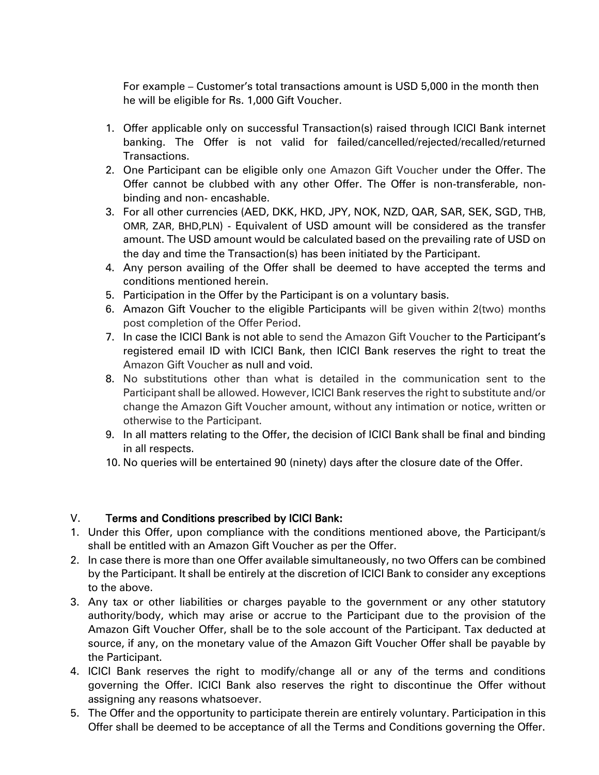For example – Customer's total transactions amount is USD 5,000 in the month then he will be eligible for Rs. 1,000 Gift Voucher.

- 1. Offer applicable only on successful Transaction(s) raised through ICICI Bank internet banking. The Offer is not valid for failed/cancelled/rejected/recalled/returned Transactions.
- 2. One Participant can be eligible only one Amazon Gift Voucher under the Offer. The Offer cannot be clubbed with any other Offer. The Offer is non-transferable, nonbinding and non- encashable.
- 3. For all other currencies (AED, DKK, HKD, JPY, NOK, NZD, QAR, SAR, SEK, SGD, THB, OMR, ZAR, BHD,PLN) - Equivalent of USD amount will be considered as the transfer amount. The USD amount would be calculated based on the prevailing rate of USD on the day and time the Transaction(s) has been initiated by the Participant.
- 4. Any person availing of the Offer shall be deemed to have accepted the terms and conditions mentioned herein.
- 5. Participation in the Offer by the Participant is on a voluntary basis.
- 6. Amazon Gift Voucher to the eligible Participants will be given within 2(two) months post completion of the Offer Period.
- 7. In case the ICICI Bank is not able to send the Amazon Gift Voucher to the Participant's registered email ID with ICICI Bank, then ICICI Bank reserves the right to treat the Amazon Gift Voucher as null and void.
- 8. No substitutions other than what is detailed in the communication sent to the Participant shall be allowed. However, ICICI Bank reserves the right to substitute and/or change the Amazon Gift Voucher amount, without any intimation or notice, written or otherwise to the Participant.
- 9. In all matters relating to the Offer, the decision of ICICI Bank shall be final and binding in all respects.
- 10. No queries will be entertained 90 (ninety) days after the closure date of the Offer.

# V. Terms and Conditions prescribed by ICICI Bank:

- 1. Under this Offer, upon compliance with the conditions mentioned above, the Participant/s shall be entitled with an Amazon Gift Voucher as per the Offer.
- 2. In case there is more than one Offer available simultaneously, no two Offers can be combined by the Participant. It shall be entirely at the discretion of ICICI Bank to consider any exceptions to the above.
- 3. Any tax or other liabilities or charges payable to the government or any other statutory authority/body, which may arise or accrue to the Participant due to the provision of the Amazon Gift Voucher Offer, shall be to the sole account of the Participant. Tax deducted at source, if any, on the monetary value of the Amazon Gift Voucher Offer shall be payable by the Participant.
- 4. ICICI Bank reserves the right to modify/change all or any of the terms and conditions governing the Offer. ICICI Bank also reserves the right to discontinue the Offer without assigning any reasons whatsoever.
- 5. The Offer and the opportunity to participate therein are entirely voluntary. Participation in this Offer shall be deemed to be acceptance of all the Terms and Conditions governing the Offer.